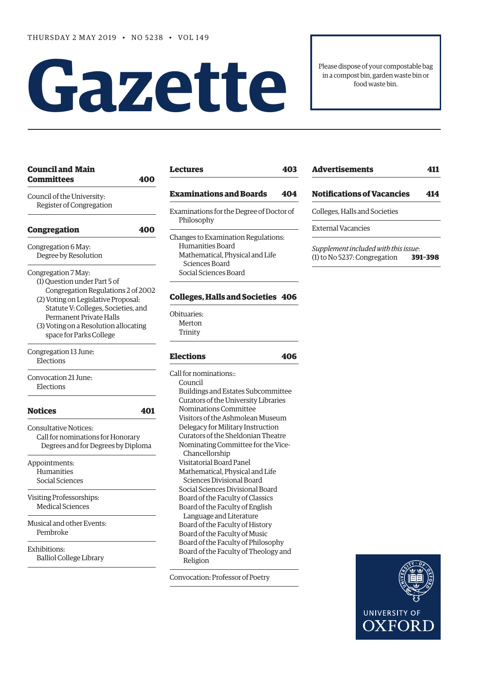# **Gazet te**

Please dispose of your compostable bag in a compost bin, garden waste bin or food waste bin.

| Council and Main<br>Committees                                                                                                                                                                                                                                                | 400 |
|-------------------------------------------------------------------------------------------------------------------------------------------------------------------------------------------------------------------------------------------------------------------------------|-----|
| Council of the University:<br>Register of Congregation                                                                                                                                                                                                                        |     |
| <b>Congregation</b>                                                                                                                                                                                                                                                           | 400 |
| Congregation 6 May:<br>Degree by Resolution                                                                                                                                                                                                                                   |     |
| Congregation 7 May:<br>(1) Question under Part 5 of<br>Congregation Regulations 2 of 2002<br>(2) Voting on Legislative Proposal:<br>Statute V: Colleges, Societies, and<br><b>Permanent Private Halls</b><br>(3) Voting on a Resolution allocating<br>space for Parks College |     |
| Congregation 13 June:<br>Elections                                                                                                                                                                                                                                            |     |
| Convocation 21 June:<br>Elections                                                                                                                                                                                                                                             |     |
| Notices                                                                                                                                                                                                                                                                       | 401 |
| <b>Consultative Notices:</b><br>Call for nominations for Honorary<br>Degrees and for Degrees by Diploma                                                                                                                                                                       |     |
| Appointments:<br>Humanities<br>Social Sciences                                                                                                                                                                                                                                |     |
| Visiting Professorships:<br><b>Medical Sciences</b>                                                                                                                                                                                                                           |     |
| Musical and other Events:<br>Pembroke                                                                                                                                                                                                                                         |     |
| Exhibitions:<br><b>Balliol College Library</b>                                                                                                                                                                                                                                |     |

**[Council and Main](#page-1-0)** 

| Lectures                                                                                                                              |    |
|---------------------------------------------------------------------------------------------------------------------------------------|----|
| <b>Examinations and Boards</b>                                                                                                        | 40 |
| Examinations for the Degree of Doctor of<br>Philosophy                                                                                |    |
| Changes to Examination Regulations:<br>Humanities Board<br>Mathematical, Physical and Life<br>Sciences Board<br>Social Sciences Board |    |
| <b>Colleges, Halls and Societies 406</b>                                                                                              |    |
| Obituaries:                                                                                                                           |    |

[Merton](#page-6-0) [Trinity](#page-6-0)

## **[Elections 406](#page-7-0)**

Call for nominations:: Council Buildings and Estates Subcommittee Curators of the University Libraries Nominations Committee Visitors of the Ashmolean Museum Delegacy for Military Instruction Curators of the Sheldonian Theatre Nominating Committee for the Vice- Chancellorship Visitatorial Board Panel Mathematical, Physical and Life Sciences Divisional Board Social Sciences Divisional Board Board of the Faculty of Classics Board of the Faculty of English Language and Literature Board of the Faculty of History Board of the Faculty of Music Board of the Faculty of Philosophy Board of the Faculty of Theology and Religion

Convocation: Professor of Poetr[y](#page-9-0)

| <b>Advertisements</b><br>411                                         |         |  |
|----------------------------------------------------------------------|---------|--|
| <b>Notifications of Vacancies</b>                                    | 414     |  |
| Colleges, Halls and Societies                                        |         |  |
| External Vacancies                                                   |         |  |
| Supplement included with this issue:<br>(1) to No 5237: Congregation | 391-398 |  |

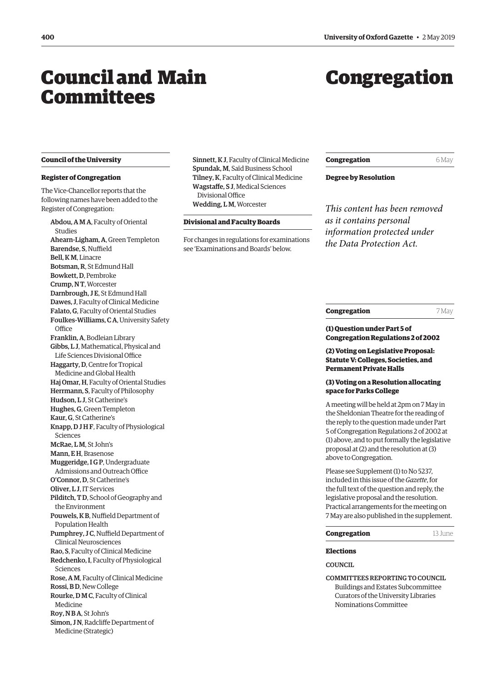## <span id="page-1-0"></span>Council and Main Committees

## Congregation

#### **Council of the University**

#### **Register of Congregation**

The Vice-Chancellor reports that the following names have been added to the Register of Congregation:

Abdou, A M A, Faculty of Oriental Studies Ahearn-Ligham, A, Green Templeton Barendse, S, Nuffield Bell, K M, Linacre Botsman, R, St Edmund Hall Bowkett, D, Pembroke Crump, N T, Worcester Darnbrough, J E, St Edmund Hall Dawes, J, Faculty of Clinical Medicine Falato, G, Faculty of Oriental Studies Foulkes-Williams, C A, University Safety **Office** Franklin, A, Bodleian Library Gibbs, L J, Mathematical, Physical and Life Sciences Divisional Office Haggarty, D, Centre for Tropical Medicine and Global Health Haj Omar, H, Faculty of Oriental Studies Herrmann, S, Faculty of Philosophy Hudson, L J, St Catherine's Hughes, G, Green Templeton Kaur, G, St Catherine's Knapp, D J H F, Faculty of Physiological Sciences McRae, L M, St John's Mann, E H, Brasenose Muggeridge, I G P, Undergraduate Admissions and Outreach Office O'Connor, D, St Catherine's Oliver, L J, IT Services Pilditch, T D, School of Geography and the Environment Pouwels, K B, Nuffield Department of Population Health Pumphrey, J C, Nuffield Department of Clinical Neurosciences Rao, S, Faculty of Clinical Medicine Redchenko, I, Faculty of Physiological Sciences Rose, A M, Faculty of Clinical Medicine Rossi, B D, New College Rourke, D M C, Faculty of Clinical Medicine Roy, N B A, St John's Simon, J N, Radcliffe Department of Medicine (Strategic)

Sinnett, K J, Faculty of Clinical Medicine Spundak, M, Saïd Business School Tilney, K, Faculty of Clinical Medicine Wagstaffe, S J, Medical Sciences Divisional Office Wedding, L M, Worcester

#### **Divisional and Faculty Boards**

For changes in regulations for examinations see '[Examinations and Boards'](#page-6-0) below.

**Congregation** 6 May

**Degree by Resolution**

*This content has been removed as it contains personal information protected under the Data Protection Act.*

#### **Congregation** 7 May

#### **(1) Question under Part 5 of Congregation Regulations 2 of 2002**

**(2) Voting on Legislative Proposal: Statute V: Colleges, Societies, and Permanent Private Halls**

#### **(3) Voting on a Resolution allocating space for Parks College**

A meeting will be held at 2pm on 7 May in the Sheldonian Theatre for the reading of the reply to the question made under Part 5 of Congregation Regulations 2 of 2002 at (1) above, and to put formally the legislative proposal at (2) and the resolution at (3) above to Congregation.

Please see [Supplement \(1\) to No 5237,](https://gazette.web.ox.ac.uk/sites/default/files/gazette/documents/media/congregation_-_1_to_no_5237.pdf)  included in this issue of the *Gazette*, for the full text of the question and reply, the legislative proposal and the resolution. Practical arrangements for the meeting on 7 May are also published in the supplement.

#### **Congregation** 13 June

**Elections**

COUNCIL.

COMMITTEES REPORTING TO COUNCIL Buildings and Estates Subcommittee Curators of the University Libraries

Nominations Committee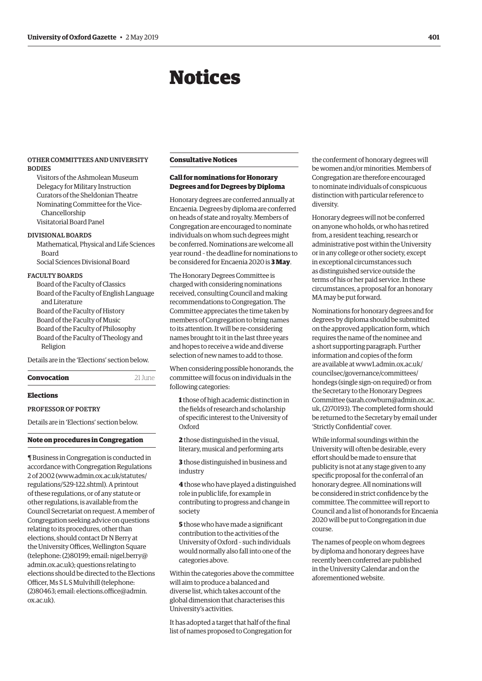## Notices

#### <span id="page-2-0"></span>OTHER COMMITTEES AND UNIVERSITY BODIES

Visitors of the Ashmolean Museum Delegacy for Military Instruction Curators of the Sheldonian Theatre Nominating Committee for the Vice-Chancellorship Visitatorial Board Panel

#### DIVISIONAL BOARDS

Mathematical, Physical and Life Sciences Board Social Sciences Divisional Board

#### FACULTY BOARDS

Board of the Faculty of Classics Board of the Faculty of English Language and Literature Board of the Faculty of History Board of the Faculty of Music Board of the Faculty of Philosophy Board of the Faculty of Theology and Religion

Details are in the '[Elections](#page-7-0)' section below.

**Convocation** 21 June

#### **Elections**

#### PROFESSOR OF POETRY

Details are in ['Elections'](#page-10-0) section below.

#### **Note on procedures in Congregation**

¶ Business in Congregation is conducted in accordance with Congregation Regulations 2 of 2002 [\(www.admin.ox.ac.uk/statutes/](http://www.admin.ox.ac.uk/statutes/regulations/529-122.shtml).) [regulations/529-122.shtml\).](http://www.admin.ox.ac.uk/statutes/regulations/529-122.shtml).) A printout of these regulations, or of any statute or other regulations, is available from the Council Secretariat on request. A member of Congregation seeking advice on questions relating to its procedures, other than elections, should contact Dr N Berry at the University Offices, Wellington Square (telephone: (2)80199; email: [nigel.berry@](mailto:nigel.berry@admin.ox.ac.uk) [admin.ox.ac.uk\)](mailto:nigel.berry@admin.ox.ac.uk); questions relating to elections should be directed to the Elections Officer, Ms S L S Mulvihill (telephone: (2)80463; email: [elections.office@admin.](mailto:elections.office@admin.ox.ac.uk) [ox.ac.uk\)](mailto:elections.office@admin.ox.ac.uk).

#### **Consultative Notices**

#### **Call for nominations for Honorary Degrees and for Degrees by Diploma**

Honorary degrees are conferred annually at Encaenia. Degrees by diploma are conferred on heads of state and royalty. Members of Congregation are encouraged to nominate individuals on whom such degrees might be conferred. Nominations are welcome all year round – the deadline for nominations to be considered for Encaenia 2020 is **3 May**.

The Honorary Degrees Committee is charged with considering nominations received, consulting Council and making recommendations to Congregation. The Committee appreciates the time taken by members of Congregation to bring names to its attention. It will be re-considering names brought to it in the last three years and hopes to receive a wide and diverse selection of new names to add to those.

When considering possible honorands, the committee will focus on individuals in the following categories:

**1** those of high academic distinction in the fields of research and scholarship of specific interest to the University of Oxford

**2** those distinguished in the visual, literary, musical and performing arts

**3** those distinguished in business and industry

**4** those who have played a distinguished role in public life, for example in contributing to progress and change in society

**5** those who have made a significant contribution to the activities of the University of Oxford – such individuals would normally also fall into one of the categories above.

Within the categories above the committee will aim to produce a balanced and diverse list, which takes account of the global dimension that characterises this University's activities.

It has adopted a target that half of the final list of names proposed to Congregation for the conferment of honorary degrees will be women and/or minorities. Members of Congregation are therefore encouraged to nominate individuals of conspicuous distinction with particular reference to diversity.

Honorary degrees will not be conferred on anyone who holds, or who has retired from, a resident teaching, research or administrative post within the University or in any college or other society, except in exceptional circumstances such as distinguished service outside the terms of his or her paid service. In these circumstances, a proposal for an honorary MA may be put forward.

Nominations for honorary degrees and for degrees by diploma should be submitted on the approved application form, which requires the name of the nominee and a short supporting paragraph. Further information and copies of the form are available at [www1.admin.ox.ac.uk/](http://www1.admin.ox.ac.uk/councilsec/governance/committees/hondegs) [councilsec/governance/committees/](http://www1.admin.ox.ac.uk/councilsec/governance/committees/hondegs) [hondegs](http://www1.admin.ox.ac.uk/councilsec/governance/committees/hondegs) (single sign-on required) or from the Secretary to the Honorary Degrees Committee [\(sarah.cowburn@admin.ox.ac.](mailto:sarah.cowburn@admin.ox.ac.uk) [uk,](mailto:(sarah.cowburn@admin.ox.ac.uk) (2)70193). The completed form should be returned to the Secretary by email under 'Strictly Confidential' cover.

While informal soundings within the University will often be desirable, every effort should be made to ensure that publicity is not at any stage given to any specific proposal for the conferral of an honorary degree. All nominations will be considered in strict confidence by the committee. The committee will report to Council and a list of honorands for Encaenia 2020 will be put to Congregation in due course.

The names of people on whom degrees by diploma and honorary degrees have recently been conferred are published in the University Calendar and on the aforementioned website.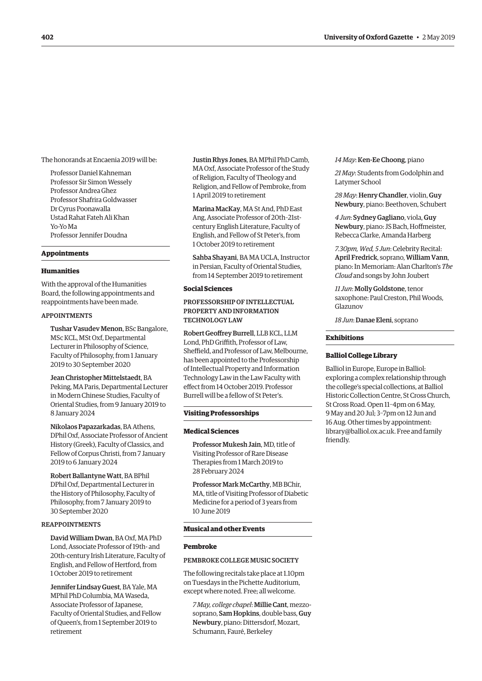<span id="page-3-0"></span>The honorands at Encaenia 2019 will be:

Professor Daniel Kahneman Professor Sir Simon Wessely Professor Andrea Ghez Professor Shafrira Goldwasser Dr Cyrus Poonawalla Ustad Rahat Fateh Ali Khan Yo-Yo Ma Professor Jennifer Doudna

#### **Appointments**

#### **Humanities**

With the approval of the Humanities Board, the following appointments and reappointments have been made.

#### APPOINTMENTS

Tushar Vasudev Menon, BSc Bangalore, MSc KCL, MSt Oxf, Departmental Lecturer in Philosophy of Science, Faculty of Philosophy, from 1 January 2019 to 30 September 2020

Jean Christopher Mittelstaedt, BA Peking, MA Paris, Departmental Lecturer in Modern Chinese Studies, Faculty of Oriental Studies, from 9 January 2019 to 8 January 2024

Nikolaos Papazarkadas, BA Athens, DPhil Oxf, Associate Professor of Ancient History (Greek), Faculty of Classics, and Fellow of Corpus Christi, from 7 January 2019 to 6 January 2024

Robert Ballantyne Watt, BA BPhil DPhil Oxf, Departmental Lecturer in the History of Philosophy, Faculty of Philosophy, from 7 January 2019 to 30 September 2020

#### REAPPOINTMENTS

David William Dwan, BA Oxf, MA PhD Lond, Associate Professor of 19th- and 20th-century Irish Literature, Faculty of English, and Fellow of Hertford, from 1 October 2019 to retirement

Jennifer Lindsay Guest, BA Yale, MA MPhil PhD Columbia, MA Waseda, Associate Professor of Japanese, Faculty of Oriental Studies, and Fellow of Queen's, from 1 September 2019 to retirement

Justin Rhys Jones, BA MPhil PhD Camb, MA Oxf, Associate Professor of the Study of Religion, Faculty of Theology and Religion, and Fellow of Pembroke, from 1 April 2019 to retirement

Marina MacKay, MA St And, PhD East Ang, Associate Professor of 20th–21stcentury English Literature, Faculty of English, and Fellow of St Peter's, from 1 October 2019 to retirement

Sahba Shayani, BA MA UCLA, Instructor in Persian, Faculty of Oriental Studies, from 14 September 2019 to retirement

#### **Social Sciences**

#### PROFESSORSHIP OF INTELLECTUAL PROPERTY AND INFORMATION TECHNOLOGY LAW

Robert Geoffrey Burrell, LLB KCL, LLM Lond, PhD Griffith, Professor of Law, Sheffield, and Professor of Law, Melbourne, has been appointed to the Professorship of Intellectual Property and Information Technology Law in the Law Faculty with effect from 14 October 2019. Professor Burrell will be a fellow of St Peter's.

#### **Visiting Professorships**

#### **Medical Sciences**

Professor Mukesh Jain, MD, title of Visiting Professor of Rare Disease Therapies from 1 March 2019 to 28 February 2024

Professor Mark McCarthy, MB BChir, MA, title of Visiting Professor of Diabetic Medicine for a period of 3 years from 10 June 2019

#### **Musical and other Events**

#### **Pembroke**

#### PEMBROKE COLLEGE MUSIC SOCIETY

The following recitals take place at 1.10pm on Tuesdays in the Pichette Auditorium, except where noted. Free; all welcome.

*7 May, college chapel*: Millie Cant, mezzosoprano, Sam Hopkins, double bass, Guy Newbury, piano: Dittersdorf, Mozart, Schumann, Fauré, Berkeley

#### *14 May*: Ken-Ee Choong, piano

*21 May*: Students from Godolphin and Latymer School

*28 May*: Henry Chandler, violin, Guy Newbury, piano: Beethoven, Schubert

*4 Jun*: Sydney Gagliano, viola, Guy Newbury, piano: JS Bach, Hoffmeister, Rebecca Clarke, Amanda Harberg

*7.30pm, Wed, 5 Jun*: Celebrity Recital: April Fredrick, soprano, William Vann, piano: In Memoriam: Alan Charlton's *The Cloud* and songs by John Joubert

*11 Jun*: Molly Goldstone, tenor saxophone: Paul Creston, Phil Woods, Glazunov

*18 Jun*: Danae Eleni, soprano

#### **Exhibitions**

#### **Balliol College Library**

Balliol in Europe, Europe in Balliol: exploring a complex relationship through the college's special collections, at Balliol Historic Collection Centre, St Cross Church, St Cross Road. Open 11–4pm on 6 May, 9 May and 20 Jul; 3–7pm on 12 Jun and 16 Aug. Other times by appointment: [library@balliol.ox.ac.uk. Fr](mailto:library@balliol.ox.ac.uk)ee and family friendly.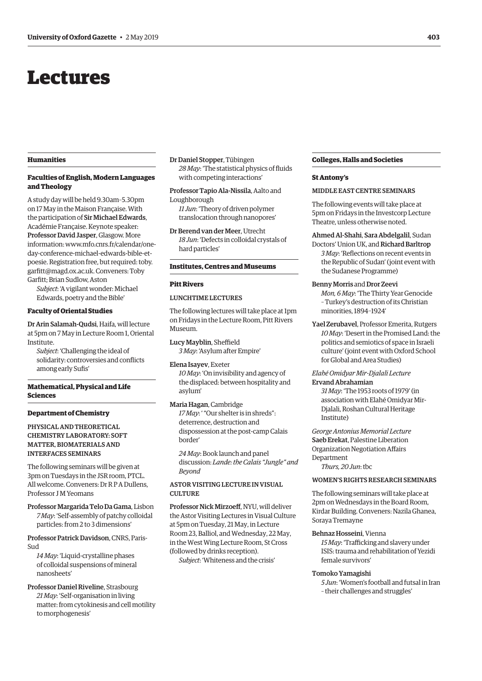## <span id="page-4-0"></span>Lectures

#### **Humanities**

#### **Faculties of English, Modern Languages and Theology**

A study day will be held 9.30am–5.30pm on 17 May in the Maison Française. With the participation of Sir Michael Edwards, Académie Française. Keynote speaker: Professor David Jasper, Glasgow. More [information: www.mfo.cnrs.fr/calendar/one](http://www.mfo.cnrs.fr/calendar/one-day-conference-michael-edwards-bible-et-poesie)day-conference-michael-edwards-bible-et[poesie.](http://www.mfo.cnrs.fr/calendar/one-day-conference-michael-edwards-bible-et-poesie) Registration free, but required: [toby.](mailto:toby.garfitt@magd.ox.ac.uk) [garfitt@magd.ox.ac.uk](mailto:toby.garfitt@magd.ox.ac.uk). Conveners: Toby Garfitt; Brian Sudlow, Aston

*Subject*: 'A vigilant wonder: Michael Edwards, poetry and the Bible'

#### **Faculty of Oriental Studies**

Dr Arin Salamah-Qudsi, Haifa, will lecture at 5pm on 7 May in Lecture Room 1, Oriental Institute.

*Subject*: 'Challenging the ideal of solidarity: controversies and conflicts among early Sufis'

#### **Mathematical, Physical and Life Sciences**

#### **Department of Chemistry**

PHYSICAL AND THEORETICAL CHEMISTRY LABORATORY: SOFT MATTER, BIOMATERIALS AND INTERFACES SEMINARS

The following seminars will be given at 3pm on Tuesdays in the JSR room, PTCL. All welcome. Conveners: Dr R P A Dullens, Professor J M Yeomans

Professor Margarida Telo Da Gama, Lisbon *7 May*: 'Self-assembly of patchy colloidal particles: from 2 to 3 dimensions'

Professor Patrick Davidson, CNRS, Paris-Sud

*14 May*: 'Liquid-crystalline phases of colloidal suspensions of mineral nanosheets'

Professor Daniel Riveline, Strasbourg *21 May*: 'Self-organisation in living matter: from cytokinesis and cell motility to morphogenesis'

Dr Daniel Stopper, Tübingen *28 May*: 'The statistical physics of fluids with competing interactions'

Professor Tapio Ala-Nissila, Aalto and Loughborough

*11 Jun*: 'Theory of driven polymer translocation through nanopores'

Dr Berend van der Meer, Utrecht *18 Jun*: 'Defects in colloidal crystals of hard particles'

### **Institutes, Centres and Museums**

#### **Pitt Rivers**

#### LUNCHTIME LECTURES

The following lectures will take place at 1pm on Fridays in the Lecture Room, Pitt Rivers Museum.

Lucy Mayblin, Sheffield *3 May*: 'Asylum after Empire'

#### Elena Isayev, Exeter

*10 May*: 'On invisibility and agency of the displaced: between hospitality and asylum'

#### Maria Hagan, Cambridge

*17 May*: ' "Our shelter is in shreds": deterrence, destruction and dispossession at the post-camp Calais border'

*24 May*: Book launch and panel discussion: *Lande: the Calais "Jungle" and Beyond*

#### ASTOR VISITING LECTURE IN VISUAL CULTURE.

Professor Nick Mirzoeff, NYU, will deliver the Astor Visiting Lectures in Visual Culture at 5pm on Tuesday, 21 May, in Lecture Room 23, Balliol, and Wednesday, 22 May, in the West Wing Lecture Room, St Cross (followed by drinks reception). *Subject*: 'Whiteness and the crisis'

#### **Colleges, Halls and Societies**

#### **St Antony's**

#### MIDDLE EAST CENTRE SEMINARS

The following events will take place at 5pm on Fridays in the Investcorp Lecture Theatre, unless otherwise noted.

#### Ahmed Al-Shahi, Sara Abdelgalil, Sudan

Doctors' Union UK, and Richard Barltrop *3 May*: 'Reflections on recent events in the Republic of Sudan' (joint event with the Sudanese Programme)

#### Benny Morris and Dror Zeevi

*Mon, 6 May*: 'The Thirty Year Genocide – Turkey's destruction of its Christian minorities, 1894–1924'

Yael Zerubavel, Professor Emerita, Rutgers *10 May*: 'Desert in the Promised Land: the politics and semiotics of space in Israeli culture' (joint event with Oxford School for Global and Area Studies)

#### *Elahé Omidyar Mir-Djalali Lecture* Ervand Abrahamian

*31 May*: 'The 1953 roots of 1979' (in association with Elahé Omidyar Mir-Djalali, Roshan Cultural Heritage Institute)

*George Antonius Memorial Lecture* Saeb Erekat, Palestine Liberation Organization Negotiation Affairs Department

*Thurs, 20 Jun*: tbc

#### WOMEN'S RIGHTS RESEARCH SEMINARS

The following seminars will take place at 2pm on Wednesdays in the Board Room, Kirdar Building. Conveners: Nazila Ghanea, Soraya Tremayne

#### Behnaz Hosseini, Vienna

*15 May*: 'Trafficking and slavery under ISIS: trauma and rehabilitation of Yezidi female survivors'

#### Tomoko Yamagishi

*5 Jun*: 'Women's football and futsal in Iran – their challenges and struggles'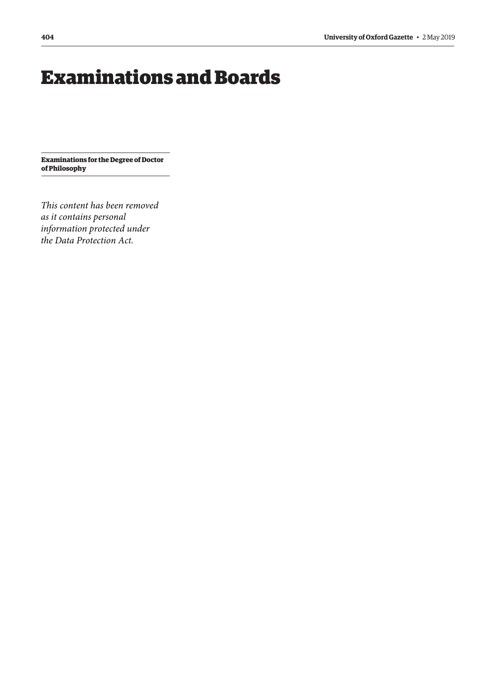# <span id="page-5-0"></span>Examinations and Boards

**Examinations for the Degree of Doctor of Philosophy**

*This content has been removed as it contains personal information protected under the Data Protection Act.*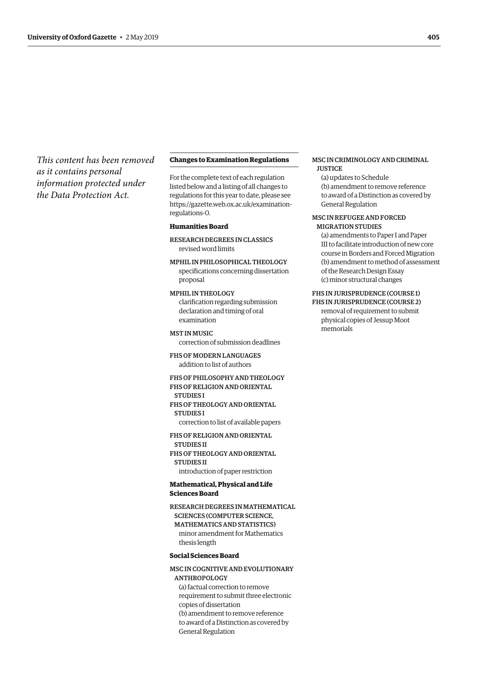<span id="page-6-0"></span>*This content has been removed as it contains personal information protected under the Data Protection Act.*

#### **Changes to Examination Regulations**

For the complete text of each regulation listed below and a listing of all changes to regulations for this year to date, please see [https://gazette.web.ox.ac.uk/examination](https://gazette/web.ox.ac.uk/examination-regulations-0)regulations-0.

#### **Humanities Board**

RESEARCH DEGREES IN CLASSICS revised word limits

MPHIL IN PHILOSOPHICAL THEOLOGY specifications concerning dissertation proposal

MPHIL IN THEOLOGY clarification regarding submission declaration and timing of oral examination

MST IN MUSIC correction of submission deadlines

FHS OF MODERN LANGUAGES addition to list of authors

FHS OF PHILOSOPHY AND THEOLOGY FHS OF RELIGION AND ORIENTAL **STUDIES I** FHS OF THEOLOGY AND ORIENTAL

STUDIES I

correction to list of available papers

FHS OF RELIGION AND ORIENTAL STUDIES II FHS OF THEOLOGY AND ORIENTAL STUDIES II introduction of paper restriction

#### **Mathematical, Physical and Life Sciences Board**

RESEARCH DEGREES IN MATHEMATICAL SCIENCES (COMPUTER SCIENCE, MATHEMATICS AND STATISTICS) minor amendment for Mathematics thesis length

#### **Social Sciences Board**

MSC IN COGNITIVE AND EVOLUTIONARY ANTHROPOLOGY (a) factual correction to remove requirement to submit three electronic copies of dissertation (b) amendment to remove reference to award of a Distinction as covered by

General Regulation

#### MSC IN CRIMINOLOGY AND CRIMINAL **JUSTICE**

(a) updates to Schedule (b) amendment to remove reference to award of a Distinction as covered by General Regulation

#### MSC IN REFUGEE AND FORCED MIGRATION STUDIES

(a) amendments to Paper I and Paper III to facilitate introduction of new core course in Borders and Forced Migration (b) amendment to method of assessment of the Research Design Essay (c) minor structural changes

#### FHS IN JURISPRUDENCE (COURSE 1)

FHS IN JURISPRUDENCE (COURSE 2) removal of requirement to submit physical copies of Jessup Moot memorials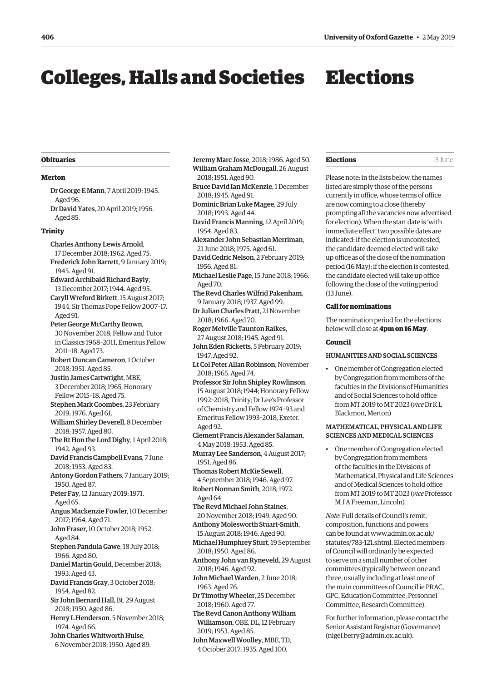# <span id="page-7-0"></span>Colleges, Halls and Societies Elections

#### **Obituaries**

#### **Merton**

- Dr George E Mann, 7 April 2019; 1945. Aged 96. Dr David Yates, 20 April 2019; 1956.
- Aged 85.

#### **Trinity**

- Charles Anthony Lewis Arnold, 17 December 2018; 1962. Aged 75. Frederick John Barrett, 9 January 2019; 1945. Aged 91.
- Edward Archibald Richard Bayly, 13 December 2017; 1944. Aged 95.
- Caryll Wreford Birkett, 15 August 2017; 1944, Sir Thomas Pope Fellow 2007–17. Aged 91.
- Peter George McCarthy Brown, 30 November 2018; Fellow and Tutor in Classics 1968–2011, Emeritus Fellow 2011–18. Aged 73.
- Robert Duncan Cameron, 1 October 2018; 1951. Aged 85.
- Justin James Cartwright, MBE, 3 December 2018; 1965, Honorary Fellow 2015–18. Aged 75.
- Stephen Mark Coombes, 23 February 2019; 1976. Aged 61.
- William Shirley Deverell, 8 December 2018; 1957. Aged 80.
- The Rt Hon the Lord Digby, 1 April 2018; 1942. Aged 93.
- David Francis Campbell Evans, 7 June 2018; 1953. Aged 83.
- Antony Gordon Fathers, 7 January 2019; 1950. Aged 87.
- Peter Fay, 12 January 2019; 1971. Aged  $65$
- Angus Mackenzie Fowler, 10 December 2017; 1964. Aged 71.
- John Fraser, 10 October 2018; 1952. Aged 84.
- Stephen Pandula Gawe, 18 July 2018; 1966. Aged 80.
- Daniel Martin Gould, December 2018; 1993. Aged 43.
- David Francis Gray, 3 October 2018; 1954. Aged 82.
- Sir John Bernard Hall, Bt, 29 August 2018; 1950. Aged 86.
- Henry L Henderson, 5 November 2018; 1974. Aged 66.
- John Charles Whitworth Hulse, 6 November 2018; 1950. Aged 89.

Jeremy Marc Josse, 2018; 1986. Aged 50. William Graham McDougall, 26 August 2018; 1951. Aged 90.

- Bruce David Ian McKenzie, 1 December 2018; 1945. Aged 91.
- Dominic Brian Luke Magee, 29 July 2018; 1993. Aged 44.
- David Francis Manning, 12 April 2019; 1954. Aged 83.
- Alexander John Sebastian Merriman, 21 June 2018; 1975. Aged 61.
- David Cedric Nelson, 2 February 2019; 1956. Aged 81.
- Michael Leslie Page, 15 June 2018; 1966. Aged 70.
- The Revd Charles Wilfrid Pakenham, 9 January 2018; 1937. Aged 99.
- Dr Julian Charles Pratt, 21 November 2018; 1966. Aged 70.
- Roger Melville Taunton Raikes, 27 August 2018; 1945. Aged 91.
- John Eden Ricketts, 5 February 2019; 1947. Aged 92.
- Lt Col Peter Allan Robinson, November 2018; 1965. Aged 74.
- Professor Sir John Shipley Rowlinson, 15 August 2018; 1944; Honorary Fellow 1992–2018, Trinity; Dr Lee's Professor of Chemistry and Fellow 1974–93 and Emeritus Fellow 1993–2018, Exeter. Aged 92.
- Clement Francis Alexander Salaman, 4 May 2018; 1953. Aged 85.

Murray Lee Sanderson, 4 August 2017; 1951. Aged 86.

- Thomas Robert McKie Sewell, 4 September 2018; 1946. Aged 97. Robert Norman Smith, 2018; 1972. Aged 64.
- The Revd Michael John Staines, 20 November 2018; 1949. Aged 90.
- Anthony Molesworth Stuart-Smith, 15 August 2018; 1946. Aged 90.
- Michael Humphrey Sturt, 19 September 2018; 1950. Aged 86.
- Anthony John van Ryneveld, 29 August 2018; 1946. Aged 92.
- John Michael Warden, 2 June 2018; 1963. Aged 76.
- Dr Timothy Wheeler, 25 December 2018; 1960. Aged 77.
- The Revd Canon Anthony William Williamson, OBE, DL, 12 February 2019; 1953. Aged 85.
- John Maxwell Woolley, MBE, TD, 4 October 2017; 1935. Aged 100.

#### **Elections** 13 June

Please note: in the lists below, the names listed are simply those of the persons currently in office, whose terms of office are now coming to a close (thereby prompting all the vacancies now advertised for election). When the start date is 'with immediate effect' two possible dates are indicated: if the election is uncontested, the candidate deemed elected will take up office as of the close of the nomination period (16 May); if the election is contested, the candidate elected will take up office following the close of the voting period (13 June).

#### **Call for nominations**

The nomination period for the elections below will close at **4pm on 16 May**.

#### **Council**

#### HUMANITIES AND SOCIAL SCIENCES

• One member of Congregation elected by Congregation from members of the faculties in the Divisions of Humanities and of Social Sciences to hold office from MT 2019 to MT 2023 (*vice* Dr K L Blackmon, Merton)

#### MATHEMATICAL, PHYSICAL AND LIFE SCIENCES AND MEDICAL SCIENCES

• One member of Congregation elected by Congregation from members of the faculties in the Divisions of Mathematical, Physical and Life Sciences and of Medical Sciences to hold office from MT 2019 to MT 2023 (*vice* Professor M J A Freeman, Lincoln)

*Note*: Full details of Council's remit, composition, functions and powers can be found at www.admin.ox.ac.uk/ [statutes/783-121.shtml.](http://www.admin.ox.ac.uk/statutes/783-121.shtml) Elected members of Council will ordinarily be expected to serve on a small number of other committees (typically between one and three, usually including at least one of the main committees of Council ie PRAC, GPC, Education Committee, Personnel Committee, Research Committee).

For further information, please contact the Senior Assistant Registrar (Governance) (nigel.berry@admin.ox.ac.u[k\).](mailto:nigel.berry@admin.ox.ac.uk)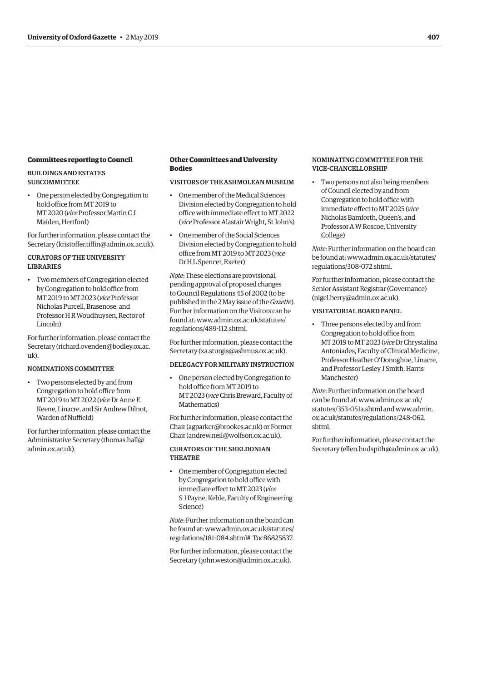#### **Committees reporting to Council**

#### BUILDINGS AND ESTATES **SUBCOMMITTEE**

• One person elected by Congregation to hold office from MT 2019 to MT 2020 (*vice* Professor Martin C J Maiden, Hertford)

For further information, please contact the Secretary (kristoffer.tiffin@admin.ox.ac.u[k\).](mailto:kristoffer.tiffin@admin.ox.ac.uk)

#### CURATORS OF THE UNIVERSITY LIBRARIES

• Two members of Congregation elected by Congregation to hold office from MT 2019 to MT 2023 (*vice* Professor Nicholas Purcell, Brasenose, and Professor H R Woudhuysen, Rector of Lincoln)

For further information, please contact the Secretary (richard.ovenden@bodley.ox.ac.  $11k$ ).

#### NOMINATIONS COMMITTEE

• Two persons elected by and from Congregation to hold office from MT 2019 to MT 2022 (*vice* Dr Anne E Keene, Linacre, and Sir Andrew Dilnot, Warden of Nuffield)

For further information, please contact the Administrative Secretary (thomas.hall@ admin.ox.ac.uk[\).](mailto:thomas.hall@admin.ox.ac.uk)

#### **Other Committees and University Bodies**

#### VISITORS OF THE ASHMOLEAN MUSEUM

- One member of the Medical Sciences Division elected by Congregation to hold office with immediate effect to MT 2022 (*vice* Professor Alastair Wright, St John's)
- One member of the Social Sciences Division elected by Congregation to hold office from MT 2019 to MT 2023 (*vice* Dr H L Spencer, Exeter)

*Note*: These elections are provisional, pending approval of proposed changes to Council Regulations 45 of 2002 (to be published in the 2 May issue of the *Gazette*). Further information on the Visitors can be found at: www.admin.ox.ac.uk/statutes[/](http://www.admin.ox.ac.uk/statutes/regulations/489-112.shtml) [regulations/489-112.shtml.](http://www.admin.ox.ac.uk/statutes/regulations/489-112.shtml)

For further information, please contact the Secretary (xa.sturgis@ashmus.ox.ac.u[k\).](mailto:xa.sturgis@ashmus.ox.ac.uk)

#### DELEGACY FOR MILITARY INSTRUCTION

• One person elected by Congregation to hold office from MT 2019 to MT 2023 (*vice* Chris Breward, Faculty of Mathematics)

For further information, please contact the Chair (agparker@brookes.ac.uk[\) or](mailto:agparker@brookes.ac.uk) Former Chair [\(andrew.neil@wolfson.ox.ac.uk](mailto:(andrew.neil@wolfson.ox.ac.uk)).

#### CURATORS OF THE SHELDONIAN THEATRE

• One member of Congregation elected by Congregation to hold office with immediate effect to MT 2023 (*vice* S J Payne, Keble, Faculty of Engineering Science)

*Note*: Further information on the board can be found at: www.admin.ox.ac.uk/statutes[/](http://www.admin.ox.ac.uk/statutes/regulations/181-084.shtml#_Toc86825837) [regulations/181-084.shtml#\\_Toc86825837.](http://www.admin.ox.ac.uk/statutes/regulations/181-084.shtml#_Toc86825837)

For further information, please contact the Secretary (john.weston@admin.ox.ac.u[k\).](mailto:john.weston@admin.ox.ac.uk)

#### NOMINATING COMMITTEE FOR THE VICE-CHANCELLORSHIP

• Two persons not also being members of Council elected by and from Congregation to hold office with immediate effect to MT 2025 (*vice* Nicholas Bamforth, Queen's, and Professor A W Roscoe, University College)

*Note*: Further information on the board can be found at: www.admin.ox.ac.uk/statutes[/](http://www.admin.ox.ac.uk/statutes/regulations/308-072.shtml) [regulations/308-072.shtml.](http://www.admin.ox.ac.uk/statutes/regulations/308-072.shtml)

For further information, please contact the Senior Assistant Registrar (Governance) (nigel.berry@admin.ox.ac.u[k\).](mailto:nigel.berry@admin.ox.ac.uk)

#### VISITATORIAL BOARD PANEL

• Three persons elected by and from Congregation to hold office from MT 2019 to MT 2023 (*vice* Dr Chrystalina Antoniades, Faculty of Clinical Medicine, Professor Heather O'Donoghue, Linacre, and Professor Lesley J Smith, Harris Manchester)

*Note*: Further information on the board can be found at: www.admin.ox.ac.uk/ [statutes/353-051a.shtml](http://www.admin.ox.ac.uk/statutes/353-051a.shtml) and www.admin[.](http://www.admin.ox.ac.uk/statutes/regulations/248-062.shtml) [ox.ac.uk/statutes/regulations/248-062.](http://www.admin.ox.ac.uk/statutes/regulations/248-062.shtml) shtml.

For further information, please contact the Secretary (ellen.hudspith@admin.ox.ac.uk[\).](mailto:ellen.hudspith@admin.ox.ac.uk)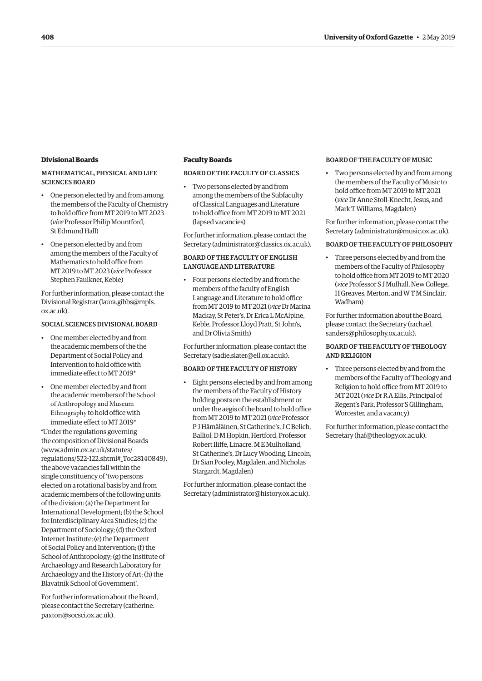#### <span id="page-9-0"></span>**Divisional Boards**

#### MATHEMATICAL, PHYSICAL AND LIFE SCIENCES BOARD

- One person elected by and from among the members of the Faculty of Chemistry to hold office from MT 2019 to MT 2023 (*vice* Professor Philip Mountford, St Edmund Hall)
- One person elected by and from among the members of the Faculty of Mathematics to hold office from MT 2019 to MT 2023 (*vice* Professor Stephen Faulkner, Keble)

For further information, please contact the Divisional Registrar (laura.gibbs@mpls. ox.ac.uk[\).](mailto:laura.gibbs@mpls.ox.ac.uk)

#### SOCIAL SCIENCES DIVISIONAL BOARD

- One member elected by and from the academic members of the the Department of Social Policy and Intervention to hold office with immediate effect to MT 2019\*
- One member elected by and from the academic members of the School of Anthropology and Museum Ethnography to hold office with immediate effect to MT 2019\*

\*Under the regulations governing the composition of Divisional B[oar](http://www.admin.ox.ac.uk/statutes/regulations/522-122.shtml#_Toc28140849)ds (www.admin.ox.ac.uk/statutes/ regulations/522-122.shtml#\_Toc28140849), the above vacancies fall within the single constituency of 'two persons elected on a rotational basis by and from academic members of the following units of the division: (a) the Department for International Development; (b) the School for Interdisciplinary Area Studies; (c) the Department of Sociology; (d) the Oxford Internet Institute; (e) the Department of Social Policy and Intervention; (f) the School of Anthropology; (g) the Institute of Archaeology and Research Laboratory for Archaeology and the History of Art; (h) the Blavatnik School of Government'.

For further information abo[ut the Board](mailto:catherine.paxton@socsci.ox.ac.uk), please contact the Secre[tary](mailto:catherine.paxton@socsci.ox.ac.uk) (catherine. paxton@socsci.ox.ac.uk).

#### **Faculty Boards**

#### BOARD OF THE FACULTY OF CLASSICS

• Two persons elected by and from among the members of the Subfaculty of Classical Languages and Literature to hold office from MT 2019 to MT 2021 (lapsed vacancies)

For further information, please contact the Secretary (administrator@classics.ox.ac.u[k\).](mailto:administrator@classics.ox.ac.uk)

#### BOARD OF THE FACULTY OF ENGLISH LANGUAGE AND LITERATURE

• Four persons elected by and from the members of the faculty of English Language and Literature to hold office from MT 2019 to MT 2021 (*vice* Dr Marina Mackay, St Peter's, Dr Erica L McAlpine, Keble, Professor Lloyd Pratt, St John's, and Dr Olivia Smith)

For further information, please contact the Secretary (sadie.slater@ell.ox.ac.u[k\).](mailto:sadie.slater@ell.ox.ac.uk)

#### BOARD OF THE FACULTY OF HISTORY

• Eight persons elected by and from among the members of the Faculty of History holding posts on the establishment or under the aegis of the board to hold office from MT 2019 to MT 2021 (*vice* Professor P J Hämäläinen, St Catherine's, J C Belich, Balliol, D M Hopkin, Hertford, Professor Robert Iliffe, Linacre, M E Mulholland, St Catherine's, Dr Lucy Wooding, Lincoln, Dr Sian Pooley, Magdalen, and Nicholas Stargardt, Magdalen)

For further information, please contact the Secretary (administrator@history.ox.ac.u[k\).](mailto:administrator@history.ox.ac.uk)

#### BOARD OF THE FACULTY OF MUSIC

• Two persons elected by and from among the members of the Faculty of Music to hold office from MT 2019 to MT 2021 (*vice* Dr Anne Stoll-Knecht, Jesus, and Mark T Williams, Magdalen)

For further information, please contact the Secretary (administrator@music.ox.ac.u[k\).](mailto:administrator@music.ox.ac.uk)

#### BOARD OF THE FACULTY OF PHILOSOPHY

• Three persons elected by and from the members of the Faculty of Philosophy to hold office from MT 2019 to MT 2020 (*vice* Professor S J Mulhall, New College, H Greaves, Merton, and W T M Sinclair, Wadham)

For further information about the Board, please contact the Secretary [\(rachael.](mailto:rachael.sanders@philosophy.ox.ac.uk) sanders@philosophy.ox.ac.uk[\).](mailto:rachael.sanders@philosophy.ox.ac.uk)

#### BOARD OF THE FACULTY OF THEOLOGY AND RELIGION

• Three persons elected by and from the members of the Faculty of Theology and Religion to hold office from MT 2019 to MT 2021 (*vice* Dr R A Ellis, Principal of Regent's Park, Professor S Gillingham, Worcester, and a vacancy)

For further information, please contact the Secretary (haf@theology.ox.ac.uk[\).](mailto:haf@theology.ox.ac.uk)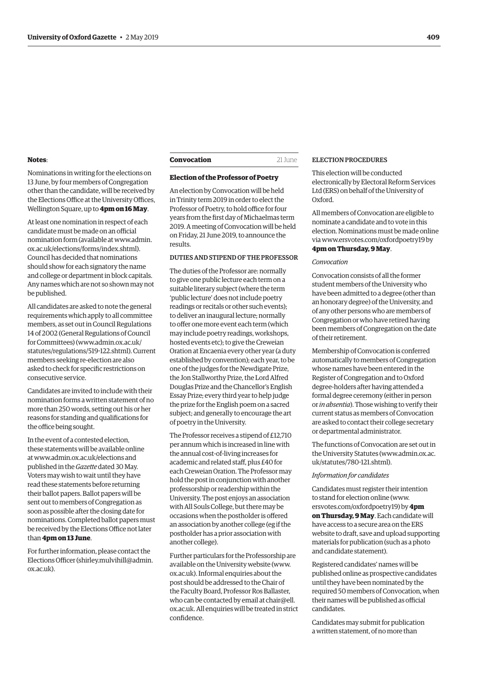#### <span id="page-10-0"></span>**Notes**:

Nominations in writing for the elections on 13 June, by four members of Congregation other than the candidate, will be received by the Elections Office at the University Offices, Wellington Square, up to **4pm on 16 May**.

At least one nomination in respect of each candidate must be made on an official nomination form (available at www.admin. ox.ac.uk/elections/forms/index.shtml). Council has decided that nominations should show for each signatory the name and college or department in block capitals. Any names which are not so shown may not be published.

All candidates are asked to note the general requirements which apply to all committee members, as set out in Council Regulations 14 of 2002 (General Regulations of Council for Committees) (www.admin.ox.ac.uk[/](http://www.admin.ox.ac.uk/statutes/regulations/519-122.shtml) statutes/regulations/519-122.shtml)[. Cu](http://www.admin.ox.ac.uk/statutes/regulations/519-122.shtml)rrent members seeking re-election are also asked to check for specific restrictions on consecutive service.

Candidates are invited to include with their nomination forms a written statement of no more than 250 words, setting out his or her reasons for standing and qualifications for the office being sought.

In the event of a contested election, these statements will be available online at www.admin.ox.ac.uk/election[s an](http://www.admin.ox.ac.uk/elections)d published in the *Gazette* dated 30 May. Voters may wish to wait until they have read these statements before returning their ballot papers. Ballot papers will be sent out to members of Congregation as soon as possible after the closing date for nominations. Completed ballot papers must be received by the Elections Office not later than **4pm on 13 June**.

For further information, please contact the Elections Officer (shirley.mulvihill@admin[.](mailto:shirley.mulvihill@admin.ox.ac.uk) ox.ac.uk[\).](mailto:shirley.mulvihill@admin.ox.ac.uk)

#### **Convocation** 21 June

#### **Election of the Professor of Poetry**

An election by Convocation will be held in Trinity term 2019 in order to elect the Professor of Poetry, to hold office for four years from the first day of Michaelmas term 2019. A meeting of Convocation will be held on Friday, 21 June 2019, to announce the results.

#### DUTIES AND STIPEND OF THE PROFESSOR

The duties of the Professor are: normally to give one public lecture each term on a suitable literary subject (where the term 'public lecture' does not include poetry readings or recitals or other such events); to deliver an inaugural lecture; normally to offer one more event each term (which may include poetry readings, workshops, hosted events etc); to give the Creweian Oration at Encaenia every other year (a duty established by convention); each year, to be one of the judges for the Newdigate Prize, the Jon Stallworthy Prize, the Lord Alfred Douglas Prize and the Chancellor's English Essay Prize; every third year to help judge the prize for the English poem on a sacred subject; and generally to encourage the art of poetry in the University.

The Professor receives a stipend of £12,710 per annum which is increased in line with the annual cost-of-living increases for academic and related staff, plus £40 for each Creweian Oration. The Professor may hold the post in conjunction with another professorship or readership within the University. The post enjoys an association with All Souls College, but there may be occasions when the postholder is offered an association by another college (eg if the postholder has a prior association with another college).

Further particulars for the Professorship are available on the University website (www[.](http://www.ox.ac.uk) ox.ac.u[k\). In](http://www.ox.ac.uk)formal enquiries about the post should be addressed to the Chair of the Faculty Board, Professor Ros Ballaster, who can be contacted by email at [chair@ell.](mailto:chair@ell.ox.ac.uk) [ox.ac.uk](mailto:chair@ell.ox.ac.uk). All enquiries will be treated in strict confidence.

#### ELECTION PROCEDURES

This election will be conducted electronically by Electoral Reform Services Ltd (ERS) on behalf of the University of Oxford.

All members of Convocation are eligible to nominate a candidate and to vote in this election. Nominations must be made online via www.ersvotes.com/oxfordpoetry19 [by](http://www.ersvotes.com/oxfordpoetry19) **4pm on Thursday, 9 May**.

#### *Convocation*

Convocation consists of all the former student members of the University who have been admitted to a degree (other than an honorary degree) of the University, and of any other persons who are members of Congregation or who have retired having been members of Congregation on the date of their retirement.

Membership of Convocation is conferred automatically to members of Congregation whose names have been entered in the Register of Congregation and to Oxford degree-holders after having attended a formal degree ceremony (either in person or *in absentia*). Those wishing to verify their current status as members of Convocation are asked to contact their college secretary or departmental administrator.

The functions of Convocation are set out in the University Statutes (www.admin.ox.ac[.](http://www.admin.ox.ac.uk/statutes/780-121.shtml) uk/statutes/780-121.shtml)[.](http://www.admin.ox.ac.uk/statutes/780-121.shtml)

#### *Information for candidates*

Candidates must register their intention to stand for election online (www[.](http://www.ersvotes.com/oxfordpoetry19) ersvotes.com/oxfordpoetry19[\) by](http://www.ersvotes.com/oxfordpoetry19) **4pm on Thursday, 9 May**. Each candidate will have access to a secure area on the ERS website to draft, save and upload supporting materials for publication (such as a photo and candidate statement).

Registered candidates' names will be published online as prospective candidates until they have been nominated by the required 50 members of Convocation, when their names will be published as official candidates.

Candidates may submit for publication a written statement, of no more than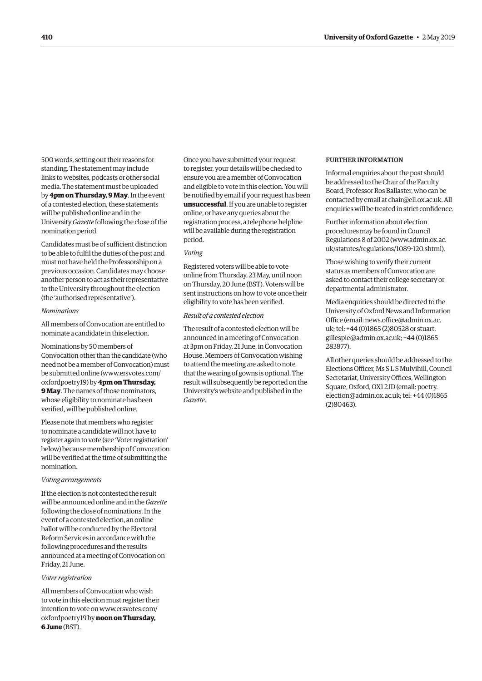500 words, setting out their reasons for standing. The statement may include links to websites, podcasts or other social media. The statement must be uploaded by **4pm on Thursday, 9 May**. In the event of a contested election, these statements will be published online and in the University *Gazette* following the close of the nomination period.

Candidates must be of sufficient distinction to be able to fulfil the duties of the post and must not have held the Professorship on a previous occasion. Candidates may choose another person to act as their representative to the University throughout the election (the 'authorised representative').

#### *Nominations*

All members of Convocation are entitled to nominate a candidate in this election.

Nominations by 50 members of Convocation other than the candidate (who need not be a member of Convocation) must be submitted online (www.ersvotes.com/ oxfordpoetry19) [by](http://www.ersvotes.com/oxfordpoetry19) **4pm on Thursday, 9 May**. The names of those nominators, whose eligibility to nominate has been verified, will be published online.

Please note that members who register to nominate a candidate will not have to register again to vote (see 'Voter registration' below) because membership of Convocation will be verified at the time of submitting the nomination.

#### *Voting arrangements*

If the election is not contested the result will be announced online and in the *Gazette* following the close of nominations. In the event of a contested election, an online ballot will be conducted by the Electoral Reform Services in accordance with the following procedures and the results announced at a meeting of Convocation on Friday, 21 June.

#### *Voter registration*

All members of Convocation who wish to vote in this election must register their intention to vote on www.ersvotes.com/ oxfordpoetry19 by **noon on Thursday, 6 June** (BST).

Once you have submitted your request to register, your details will be checked to ensure you are a member of Convocation and eligible to vote in this election. You will be notified by email if your request has been **unsuccessful**. If you are unable to register online, or have any queries about the registration process, a telephone helpline will be available during the registration period.

#### *Voting*

Registered voters will be able to vote online from Thursday, 23 May, until noon on Thursday, 20 June (BST). Voters will be sent instructions on how to vote once their eligibility to vote has been verified.

#### *Result of a contested election*

The result of a contested election will be announced in a meeting of Convocation at 3pm on Friday, 21 June, in Convocation House. Members of Convocation wishing to attend the meeting are asked to note that the wearing of gowns is optional. The result will subsequently be reported on the University's website and published in the *Gazette*.

#### FURTHER INFORMATION

Informal enquiries about the post should be addressed to the Chair of the Faculty Board, Professor Ros Ballaster, who can be contacted by email at chair@ell.ox.ac.u[k. Al](mailto:chair@ell.ox.ac.uk)l enquiries will be treated in strict confidence.

Further information about election procedures may be found in Council Regulations 8 of 2002 (www.admin.ox.ac. uk/statutes/regulations/1089-120.shtml)[.](http://www.admin.ox.ac.uk/statutes/regulations/1089-120.shtml)

Those wishing to verify their current status as members of Convocation are asked to contact their college secretary or departmental administrator.

Media enquiries should be directed to the University of Oxford News and Information Office (email: news.office@admin.ox.ac[.](mailto:news.office@admin.ox.ac.uk) [uk;](mailto:news.office@admin.ox.ac.uk) tel: +44 (0)1865 (2)80528 or [stuart.](mailto:stuart.gillespie@admin.ox.ac.uk) gillespie@admin.ox.ac.u[k; +4](mailto:stuart.gillespie@admin.ox.ac.uk)4 (0)1865 283877).

All other queries should be addressed to the Elections Officer, Ms S L S Mulvihill, Council Secretariat, University Offices, Wellington Square, Oxford, OX1 2JD (email: [poetry.](mailto:poetry.election@admin.ox.ac.uk) election@admin.ox.ac.u[k; tel](mailto:poetry.election@admin.ox.ac.uk): +44 (0)1865 (2)80463).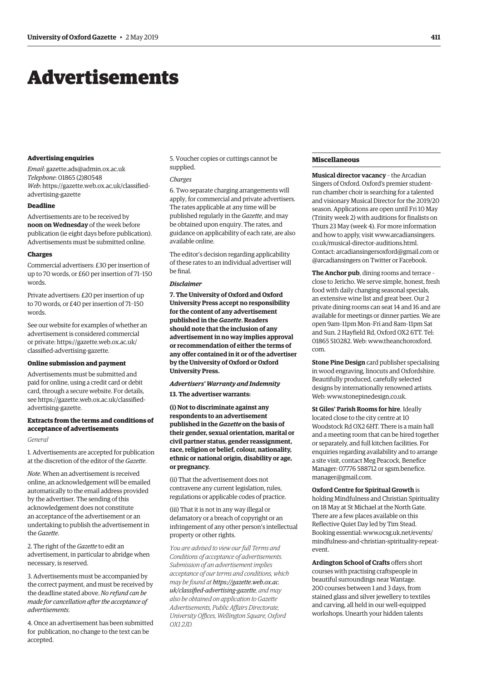## <span id="page-12-0"></span>Advertisements

#### **Advertising enquiries**

*Email*: [gazette.ads@admin.ox.ac.uk](mailto:gazette.ads@admin.ox.ac.uk) *Telephone*: 01865 (2)80548 *Web*[: https://gazette.web.ox.ac.uk/classified](https://gazette.web.ox.ac.uk/classified-advertising-gazette)advertising-gazette

#### **Deadline**

Advertisements are to be received by **noon on Wednesday** of the week before publication (ie eight days before publication). Advertisements must be submitted online.

#### **Charges**

Commercial advertisers: £30 per insertion of up to 70 words, or £60 per insertion of 71–150 words.

Private advertisers: £20 per insertion of up to 70 words, or £40 per insertion of 71–150 words.

See our website for examples of whether an advertisement is considered commercial [or private: https://gazette.web.ox.ac.uk/](https://gazette.web.ox.ac.uk/classfied-advertising-gazette) classified-advertising-gazette.

#### **Online submission and payment**

Advertisements must be submitted and paid for online, using a credit card or debit card, through a secure website. For details, [see https://gazette.web.ox.ac.uk/classified](https://gazette.web.ox.ac.uk/classfied-advertising-gazette)advertising-gazette.

#### **Extracts from the terms and conditions of acceptance of advertisements**

#### *General*

1. Advertisements are accepted for publication at the discretion of the editor of the *Gazette*.

*Note*. When an advertisement is received online, an acknowledgement will be emailed automatically to the email address provided by the advertiser. The sending of this acknowledgement does not constitute an acceptance of the advertisement or an undertaking to publish the advertisement in the *Gazette*.

2. The right of the *Gazette* to edit an advertisement, in particular to abridge when necessary, is reserved.

3. Advertisements must be accompanied by the correct payment, and must be received by the deadline stated above. *No refund can be made for cancellation after the acceptance of advertisements*.

4. Once an advertisement has been submitted for publication, no change to the text can be accepted.

5. Voucher copies or cuttings cannot be supplied.

#### *Charges*

6. Two separate charging arrangements will apply, for commercial and private advertisers. The rates applicable at any time will be published regularly in the *Gazette*, and may be obtained upon enquiry. The rates, and guidance on applicability of each rate, are also available online.

The editor's decision regarding applicability of these rates to an individual advertiser will be final.

#### *Disclaimer*

**7. The University of Oxford and Oxford University Press accept no responsibility for the content of any advertisement published in the** *Gazette***. Readers should note that the inclusion of any advertisement in no way implies approval or recommendation of either the terms of any offer contained in it or of the advertiser by the University of Oxford or Oxford University Press.**

#### *Advertisers' Warranty and Indemnity*

**13. The advertiser warrants:**

**(i) Not to discriminate against any respondents to an advertisement published in the** *Gazette* **on the basis of their gender, sexual orientation, marital or civil partner status, gender reassignment, race, religion or belief, colour, nationality, ethnic or national origin, disability or age, or pregnancy.**

(ii) That the advertisement does not contravene any current legislation, rules, regulations or applicable codes of practice.

(iii) That it is not in any way illegal or defamatory or a breach of copyright or an infringement of any other person's intellectual property or other rights.

*You are advised to view our full Terms and Conditions of acceptance of advertisements. Submission of an advertisement implies acceptance of our terms and conditions, which may be found at https://gazette.web.ox.ac. [uk/classified-advertising-gazette](https://gazette.web.ox.ac.uk/classfied-advertising-gazette), and may also be obtained on application to Gazette Advertisements, Public Affairs Directorate, University Offices, Wellington Square, Oxford OX1 2JD.*

#### **Miscellaneous**

**Musical director vacancy** – the Arcadian Singers of Oxford. Oxford's premier studentrun chamber choir is searching for a talented and visionary Musical Director for the 2019/20 season. Applications are open until Fri 10 May (Trinity week 2) with auditions for finalists on Thurs 23 May (week 4). For more information and how to apply, visit [www.arcadiansingers.](http://www.arcadiansingers.co.uk/musical-director-auditions.html) [co.uk/musical-director-auditions.html.](http://www.arcadiansingers.co.uk/musical-director-auditions.html) Contact: [arcadiansingersoxford@gmail.com](mailto:arcadiansingersoxford@gmail.com) or [@arcadiansingers](https://twitter.com/arcadiansingers) on Twitter or Facebook.

**The Anchor pub**, dining rooms and terrace – close to Jericho. We serve simple, honest, fresh food with daily changing seasonal specials, an extensive wine list and great beer. Our 2 private dining rooms can seat 14 and 16 and are available for meetings or dinner parties. We are open 9am–11pm Mon–Fri and 8am–11pm Sat and Sun. 2 Hayfield Rd, Oxford OX2 6TT. Tel: 01865 510282. Web: [www.theanchoroxford.](http://www.theanchoroxford.com) [com](http://www.theanchoroxford.com).

**Stone Pine Design** card publisher specialising in wood engraving, linocuts and Oxfordshire. Beautifully produced, carefully selected designs by internationally renowned artists. Web: [www.stonepinedesign.co.uk.](http://www.stonepinedesign.co.uk)

**St Giles' Parish Rooms for hire**. Ideally located close to the city centre at 10 Woodstock Rd OX2 6HT. There is a main hall and a meeting room that can be hired together or separately, and full kitchen facilities. For enquiries regarding availability and to arrange a site visit, contact Meg Peacock, Benefice Manager: 07776 588712 or [sgsm.benefice.](mailto:sgsm.benefice.manager@gmail.com) [manager@gmail.com](mailto:sgsm.benefice.manager@gmail.com).

#### **Oxford Centre for Spiritual Growth** is

holding Mindfulness and Christian Spirituality on 18 May at St Michael at the North Gate. There are a few places available on this Reflective Quiet Day led by Tim Stead. Booking essential: [www.ocsg.uk.net/events/](http://www.ocsg.uk.net/events/mindfulness-and-christian-spirituality-repeat-event) [mindfulness-and-christian-spirituality-repeat](http://www.ocsg.uk.net/events/mindfulness-and-christian-spirituality-repeat-event)event.

**Ardington School of Crafts** offers short courses with practising craftspeople in beautiful surroundings near Wantage. 200 courses between 1 and 3 days, from stained glass and silver jewellery to textiles and carving, all held in our well-equipped workshops. Unearth your hidden talents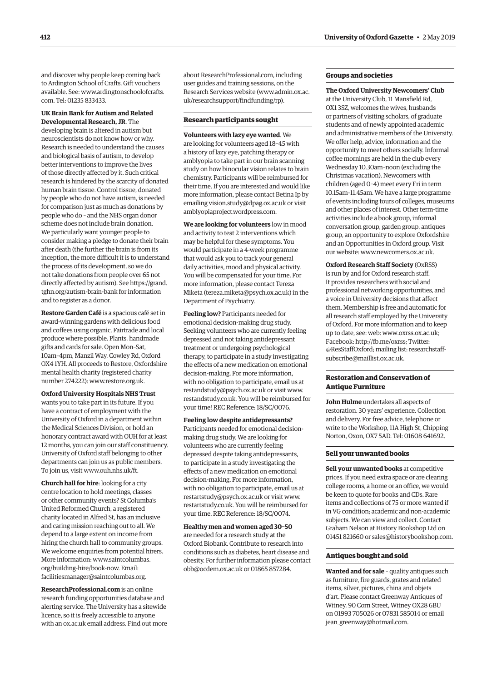and discover why people keep coming back to Ardington School of Crafts. Gift vouchers available. See: [www.ardingtonschoolofcrafts.](http://www.ardingtonschoolofcrafts.com) [com.](http://www.ardingtonschoolofcrafts.com) Tel: 01235 833433.

#### **UK Brain Bank for Autism and Related Developmental Research, JR**. The

developing brain is altered in autism but neuroscientists do not know how or why. Research is needed to understand the causes and biological basis of autism, to develop better interventions to improve the lives of those directly affected by it. Such critical research is hindered by the scarcity of donated human brain tissue. Control tissue, donated by people who do not have autism, is needed for comparison just as much as donations by people who do – and the NHS organ donor scheme does not include brain donation. We particularly want younger people to consider making a pledge to donate their brain after death (the further the brain is from its inception, the more difficult it is to understand the process of its development, so we do not take donations from people over 65 not directly affected by autism). See [https://grand.](https://grand.tghn.org/autism-brain-bank) [tghn.org/autism-brain-bank](https://grand.tghn.org/autism-brain-bank) for information and to register as a donor.

**Restore Garden Café** is a spacious café set in award-winning gardens with delicious food and coffees using organic, Fairtrade and local produce where possible. Plants, handmade gifts and cards for sale. Open Mon–Sat, 10am–4pm, Manzil Way, Cowley Rd, Oxford OX4 1YH. All proceeds to Restore, Oxfordshire mental health charity (registered charity number 274222): [www.restore.org.uk](http://www.restore.org.uk).

**Oxford University Hospitals NHS Trust** wants you to take part in its future. If you have a contract of employment with the University of Oxford in a department within the Medical Sciences Division, or hold an honorary contract award with OUH for at least 12 months, you can join our staff constituency. University of Oxford staff belonging to other departments can join us as public members. To join us, visit [www.ouh.nhs.uk/ft.](http://www.ouh.nhs.uk/ft)

**Church hall for hire**: looking for a city centre location to hold meetings, classes or other community events? St Columba's United Reformed Church, a registered charity located in Alfred St, has an inclusive and caring mission reaching out to all. We depend to a large extent on income from hiring the church hall to community groups. We welcome enquiries from potential hirers. More information: [www.saintcolumbas.](http://www.saintcolumbas.org/building-hire/book-now) [org/building-hire/book-now.](http://www.saintcolumbas.org/building-hire/book-now) Email: [facilitiesmanager@saintcolumbas.org.](mailto:facilitiesmanager@saintcolumbas.org)

**[ResearchProfessional.com](http://ResearchProfessional.com)** is an online research funding opportunities database and alerting service. The University has a sitewide licence, so it is freely accessible to anyone with an [ox.ac.uk](http://ox.ac.uk) email address. Find out more about [ResearchProfessional.com](http://ResearchProfessional.com), including user guides and training sessions, on the Research Services website ([www.admin.ox.ac.](http://www.admin.ox.ac.uk/researchsupport/findfunding/rp) [uk/researchsupport/findfunding/rp\).](http://www.admin.ox.ac.uk/researchsupport/findfunding/rp)

#### **Research participants sought**

**Volunteers with lazy eye wanted**. We are looking for volunteers aged 18–45 with a history of lazy eye, patching therapy or amblyopia to take part in our brain scanning study on how binocular vision relates to brain chemistry. Participants will be reimbursed for their time. If you are interested and would like more information, please contact Betina Ip by emailing [vision.study@dpag.ox.ac.uk](mailto:vision.study@dpag.ox.ac.uk) or visit [amblyopiaproject.wordpress.com](http://amblyopiaproject.wordpress.com).

**We are looking for volunteers** low in mood and activity to test 2 interventions which may be helpful for these symptoms. You would participate in a 4-week programme that would ask you to track your general daily activities, mood and physical activity. You will be compensated for your time. For more information, please contact Tereza Miketa [\(tereza.miketa@psych.ox.ac.uk\)](mailto:tereza.miketa@psych.ox.ac.uk) in the Department of Psychiatry.

**Feeling low?** Participants needed for emotional decision-making drug study. Seeking volunteers who are currently feeling depressed and not taking antidepressant treatment or undergoing psychological therapy, to participate in a study investigating the effects of a new medication on emotional decision-making. For more information, with no obligation to participate, email us at [restandstudy@psych.ox.ac.uk](mailto:restandstudy@psych.ox.ac.uk) or visit [www.](http://www.restandstudy.co.uk) [restandstudy.co.uk](http://www.restandstudy.co.uk). You will be reimbursed for your time! REC Reference: 18/SC/0076.

**Feeling low despite antidepressants?** Participants needed for emotional decisionmaking drug study. We are looking for volunteers who are currently feeling depressed despite taking antidepressants, to participate in a study investigating the effects of a new medication on emotional decision-making. For more information, with no obligation to participate, email us at [restartstudy@psych.ox.ac.uk](mailto:restartstudy@psych.ox.ac.uk) or visit [www.](http://www.restartstudy.co.uk) [restartstudy.co.uk](http://www.restartstudy.co.uk). You will be reimbursed for your time. REC Reference: 18/SC/0074.

**Healthy men and women aged 30–50** are needed for a research study at the Oxford Biobank. Contribute to research into conditions such as diabetes, heart disease and obesity. For further information please contact [obb@ocdem.ox.ac.uk](mailto:obb@ocdem.ox.ac.uk) or 01865 857284.

#### **Groups and societies**

#### **The Oxford University Newcomers' Club**

at the University Club, 11 Mansfield Rd, OX1 3SZ, welcomes the wives, husbands or partners of visiting scholars, of graduate students and of newly appointed academic and administrative members of the University. We offer help, advice, information and the opportunity to meet others socially. Informal coffee mornings are held in the club every Wednesday 10.30am–noon (excluding the Christmas vacation). Newcomers with children (aged 0–4) meet every Fri in term 10.15am–11.45am. We have a large programme of events including tours of colleges, museums and other places of interest. Other term-time activities include a book group, informal conversation group, garden group, antiques group, an opportunity to explore Oxfordshire and an Opportunities in Oxford group. Visit our website: [www.newcomers.ox.ac.uk.](http://www.newcomers.ox.ac.uk)

**Oxford Research Staff Society** (OxRSS) is run by and for Oxford research staff. It provides researchers with social and professional networking opportunities, and a voice in University decisions that affect them. Membership is free and automatic for all research staff employed by the University of Oxford. For more information and to keep up to date, see: web: [www.oxrss.ox.ac.uk](http://www.oxrss.ox.ac.uk); Facebook: [http://fb.me/oxrss;](http://fb.me/oxrss) Twitter: @[ResStaffOxford](https://twitter.com/resstaffoxford); mailing li[st: researchstaf](mailto:researchstaff-subscribe@maillist.ox.ac.uk)f[subscribe@maillist.ox.ac.uk](mailto:researchstaff-subscribe@maillist.ox.ac.uk).

#### **Restoration and Conservation of Antique Furniture**

**John Hulme** undertakes all aspects of restoration. 30 years' experience. Collection and delivery. For free advice, telephone or write to the Workshop, 11A High St, Chipping Norton, Oxon, OX7 5AD. Tel: 01608 641692.

#### **Sell your unwanted books**

**Sell your unwanted books** at competitive prices. If you need extra space or are clearing college rooms, a home or an office, we would be keen to quote for books and CDs. Rare items and collections of 75 or more wanted if in VG condition; academic and non-academic subjects. We can view and collect. Contact Graham Nelson at History Bookshop Ltd on 01451 821660 or [sales@historybookshop.com](mailto:sales@historybookshop.com).

#### **Antiques bought and sold**

**Wanted and for sale** – quality antiques such as furniture, fire guards, grates and related items, silver, pictures, china and objets d'art. Please contact Greenway Antiques of Witney, 90 Corn Street, Witney OX28 6BU on 01993 705026 or 07831 585014 or email [jean\\_greenway@hotmail.com](mailto:jean_greenway@hotmail.com).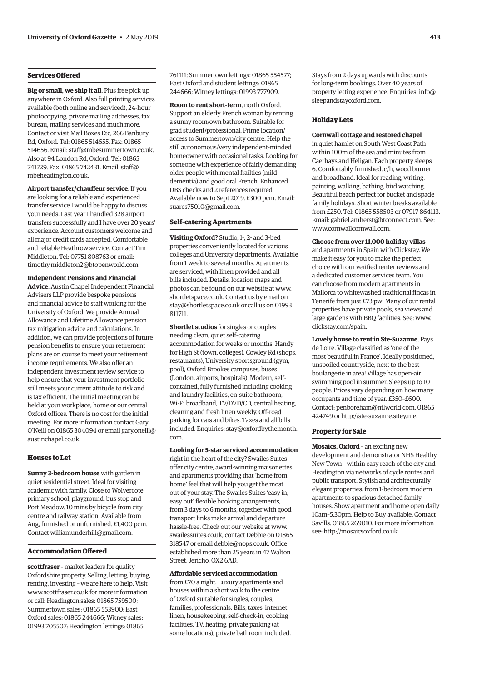#### **Services Offered**

**Big or small, we ship it all**. Plus free pick up anywhere in Oxford. Also full printing services available (both online and serviced), 24-hour photocopying, private mailing addresses, fax bureau, mailing services and much more. Contact or visit Mail Boxes Etc, 266 Banbury Rd, Oxford. Tel: 01865 514655. Fax: 01865 514656. Email: [staff@mbesummertown.co.uk.](mailto:staff@mbesummertown.co.uk) Also at 94 London Rd, Oxford. Tel: 01865 741729. Fax: 01865 742431. Email: [staff@](mailto:staff@mbeheadington.co.uk) [mbeheadington.co.uk](mailto:staff@mbeheadington.co.uk).

**Airport transfer/chauffeur service**. If you are looking for a reliable and experienced transfer service I would be happy to discuss your needs. Last year I handled 328 airport transfers successfully and I have over 20 years' experience. Account customers welcome and all major credit cards accepted. Comfortable and reliable Heathrow service. Contact Tim Middleton. Tel: 07751 808763 or email: [timothy.middleton2@btopenworld.com.](mailto:timothy.middleton2@btopenworld.com)

#### **Independent Pensions and Financial**

**Advice**. Austin Chapel Independent Financial Advisers LLP provide bespoke pensions and financial advice to staff working for the University of Oxford. We provide Annual Allowance and Lifetime Allowance pension tax mitigation advice and calculations. In addition, we can provide projections of future pension benefits to ensure your retirement plans are on course to meet your retirement income requirements. We also offer an independent investment review service to help ensure that your investment portfolio still meets your current attitude to risk and is tax efficient. The initial meeting can be held at your workplace, home or our central Oxford offices. There is no cost for the initial meeting. For more information contact Gary O'Neill on 01865 304094 or email [gary.oneill@](mailto:gary.oneill@austinchapel.co.uk) [austinchapel.co.uk.](mailto:gary.oneill@austinchapel.co.uk)

#### **Houses to Let**

**Sunny 3-bedroom house** with garden in quiet residential street. Ideal for visiting academic with family. Close to Wolvercote primary school, playground, bus stop and Port Meadow. 10 mins by bicycle from city centre and railway station. Available from Aug, furnished or unfurnished. £1,400 pcm. Contact [williamunderhill@gmail.com](mailto:williamunderhill@gmail.com).

#### **Accommodation Offered**

**scottfraser** – market leaders for quality Oxfordshire property. Selling, letting, buying, renting, investing – we are here to help. Visit [www.scottfraser.co.uk](http://www.scottfraser.co.uk) for more information or call: Headington sales: 01865 759500; Summertown sales: 01865 553900; East Oxford sales: 01865 244666; Witney sales: 01993 705507; Headington lettings: 01865

761111; Summertown lettings: 01865 554577; East Oxford and student lettings: 01865 244666; Witney lettings: 01993 777909.

**Room to rent short-term**, north Oxford. Support an elderly French woman by renting a sunny room/own bathroom. Suitable for grad student/professional. Prime location/ access to Summertown/city centre. Help the still autonomous/very independent-minded homeowner with occasional tasks. Looking for someone with experience of fairly demanding older people with mental frailties (mild dementia) and good oral French. Enhanced DBS checks and 2 references required. Available now to Sept 2019. £300 pcm. Email: [suares75010@gmail.com](mailto:suares75010@gmail.com).

#### **Self-catering Apartments**

**Visiting Oxford?** Studio, 1-, 2- and 3-bed properties conveniently located for various colleges and University departments. Available from 1 week to several months. Apartments are serviced, with linen provided and all bills included. Details, location maps and photos can be found on our website at [www.](http://www.shortletspace.co.uk) [shortletspace.co.uk](http://www.shortletspace.co.uk). Contact us by email on [stay@shortletspace.co.uk](mailto:stay@shortletspace.co.uk) or call us on 01993 811711.

**Shortlet studios** for singles or couples needing clean, quiet self-catering accommodation for weeks or months. Handy for High St (town, colleges), Cowley Rd (shops, restaurants), University sportsground (gym, pool), Oxford Brookes campuses, buses (London, airports, hospitals). Modern, selfcontained, fully furnished including cooking and laundry facilities, en-suite bathroom, Wi-Fi broadband, TV/DVD/CD, central heating, cleaning and fresh linen weekly. Off-road parking for cars and bikes. Taxes and all bills included. Enquiries: [stay@oxfordbythemonth.](mailto:stay@oxfordbythemonth.com) [com.](mailto:stay@oxfordbythemonth.com)

**Looking for 5-star serviced accommodation** right in the heart of the city? Swailes Suites offer city centre, award-winning maisonettes and apartments providing that 'home from home' feel that will help you get the most out of your stay. The Swailes Suites 'easy in, easy out' flexible booking arrangements, from 3 days to 6 months, together with good transport links make arrival and departure hassle-free. Check out our website at [www.](http://www.swailessuites.co.uk) [swailessuites.co.uk](http://www.swailessuites.co.uk), contact Debbie on 01865 318547 or email [debbie@nops.co.uk](mailto:debbie@nops.co.uk). Office established more than 25 years in 47 Walton Street, Jericho, OX2 6AD.

#### **Affordable serviced accommodation**

from £70 a night. Luxury apartments and houses within a short walk to the centre of Oxford suitable for singles, couples, families, professionals. Bills, taxes, internet, linen, housekeeping, self-check-in, cooking facilities, TV, heating, private parking (at some locations), private bathroom included. Stays from 2 days upwards with discounts for long-term bookings. Over 40 years of property letting experience. Enquiries: [info@](mailto:info@sleepandstayoxford.com) [sleepandstayoxford.com](mailto:info@sleepandstayoxford.com).

#### **Holiday Lets**

#### **Cornwall cottage and restored chapel**

in quiet hamlet on South West Coast Path within 100m of the sea and minutes from Caerhays and Heligan. Each property sleeps 6. Comfortably furnished, c/h, wood burner and broadband. Ideal for reading, writing, painting, walking, bathing, bird watching. Beautiful beach perfect for bucket and spade family holidays. Short winter breaks available from £250. Tel: 01865 558503 or 07917 864113. mail: [gabriel.amherst@btconnect.com](mailto:gabriel.amherst@btconnect.com). See: [www.cornwallcornwall.com.](http://www.cornwallcornwall.com)

**Choose from over 11,000 holiday villas** and apartments in Spain with Clickstay. We make it easy for you to make the perfect choice with our verified renter reviews and a dedicated customer services team. You can choose from modern apartments in Mallorca to whitewashed traditional fincas in

Tenerife from just £73 pw! Many of our rental properties have private pools, sea views and large gardens with BBQ facilities. See: [www.](http://www.clickstay.com/spain) [clickstay.com/spain.](http://www.clickstay.com/spain) **Lovely house to rent in Ste-Suzanne**, Pays

de Loire. Village classified as 'one of the most beautiful in France'. Ideally positioned, unspoiled countryside, next to the best boulangerie in area! Village has open-air swimming pool in summer. Sleeps up to 10 people. Prices vary depending on how many occupants and time of year. £350–£600. Contact: [penboreham@ntlworld.com](mailto:penboreham@ntlworld.com), 01865 424749 or <http://ste-suzanne.sitey.me>.

#### **Property for Sale**

**Mosaics, Oxford** – an exciting new development and demonstrator NHS Healthy New Town – within easy reach of the city and Headington via networks of cycle routes and public transport. Stylish and architecturally elegant properties: from 1-bedroom modern apartments to spacious detached family houses. Show apartment and home open daily 10am–5.30pm. Help to Buy available. Contact Savills: 01865 269010. For more information see:<http://mosaicsoxford.co.uk>.